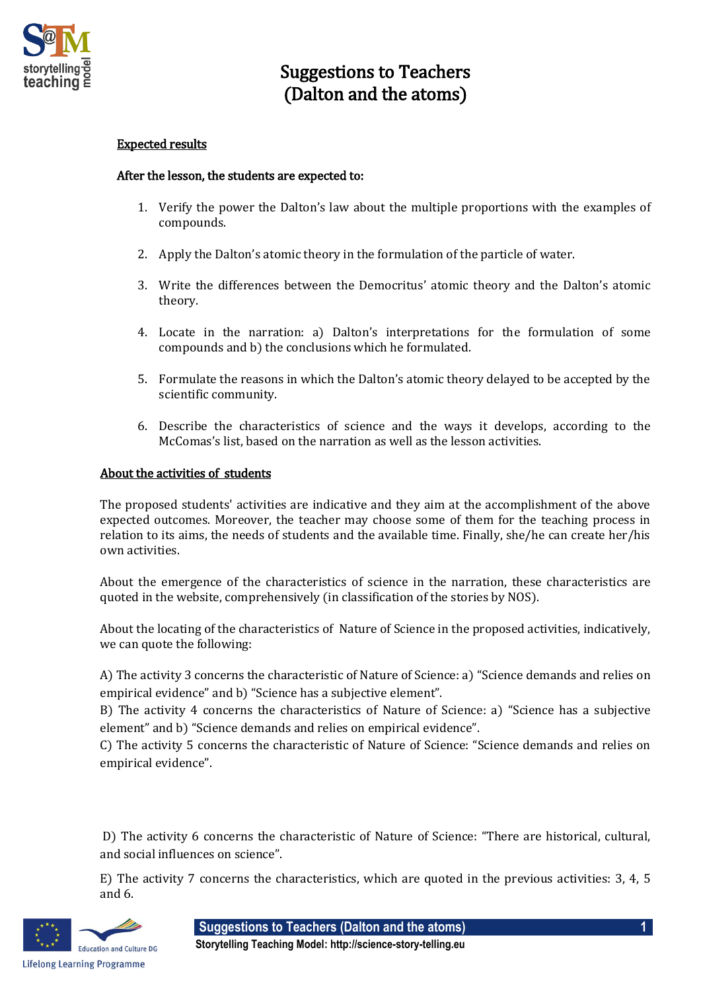

## Suggestions to Teachers (Dalton and the atoms)

## Expected results

## After the lesson, the students are expected to:

- 1. Verify the power the Dalton's law about the multiple proportions with the examples of compounds.
- 2. Apply the Dalton's atomic theory in the formulation of the particle of water.
- 3. Write the differences between the Democritus' atomic theory and the Dalton's atomic theory.
- 4. Locate in the narration: a) Dalton's interpretations for the formulation of some compounds and b) the conclusions which he formulated.
- 5. Formulate the reasons in which the Dalton's atomic theory delayed to be accepted by the scientific community.
- 6. Describe the characteristics of science and the ways it develops, according to the McComas's list, based on the narration as well as the lesson activities.

## About the activities of students

The proposed students' activities are indicative and they aim at the accomplishment of the above expected outcomes. Moreover, the teacher may choose some of them for the teaching process in relation to its aims, the needs of students and the available time. Finally, she/he can create her/his own activities.

About the emergence of the characteristics of science in the narration, these characteristics are quoted in the website, comprehensively (in classification of the stories by NOS).

About the locating of the characteristics of Nature of Science in the proposed activities, indicatively, we can quote the following:

A) The activity 3 concerns the characteristic of Nature of Science: a) "Science demands and relies on empirical evidence" and b) "Science has a subjective element".

B) The activity 4 concerns the characteristics of Nature of Science: a) "Science has a subjective element" and b) "Science demands and relies on empirical evidence".

C) The activity 5 concerns the characteristic of Nature of Science: "Science demands and relies on empirical evidence".

D) The activity 6 concerns the characteristic of Nature of Science: "There are historical, cultural, and social influences on science".

E) The activity 7 concerns the characteristics, which are quoted in the previous activities: 3, 4, 5 and 6.



**Suggestions to Teachers (Dalton and the atoms) 1**

**Storytelling Teaching Model: http://science-story-telling.eu**